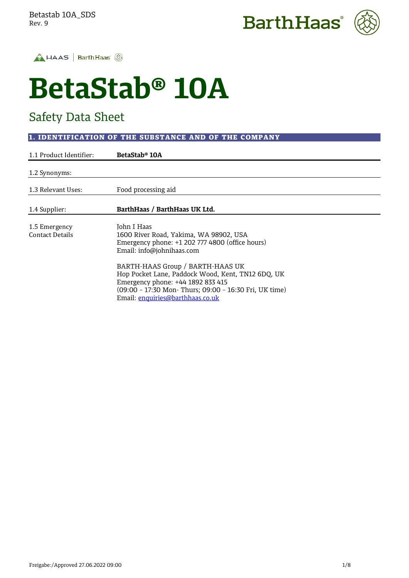





# **BetaStab® 10A**

# Safety Data Sheet

## 1. IDENTIFICATION OF THE SUBSTANCE AND OF THE COMPANY

| 1.1 Product Identifier: | BetaStab® 10A                                          |
|-------------------------|--------------------------------------------------------|
| 1.2 Synonyms:           |                                                        |
|                         |                                                        |
| 1.3 Relevant Uses:      | Food processing aid                                    |
| 1.4 Supplier:           | BarthHaas / BarthHaas UK Ltd.                          |
|                         |                                                        |
| 1.5 Emergency           | John I Haas                                            |
| <b>Contact Details</b>  | 1600 River Road, Yakima, WA 98902, USA                 |
|                         | Emergency phone: +1 202 777 4800 (office hours)        |
|                         | Email: info@johnihaas.com                              |
|                         | BARTH-HAAS Group / BARTH-HAAS UK                       |
|                         | Hop Pocket Lane, Paddock Wood, Kent, TN12 6DQ, UK      |
|                         | Emergency phone: +44 1892 833 415                      |
|                         | (09:00 - 17:30 Mon- Thurs; 09:00 - 16:30 Fri, UK time) |
|                         | Email: enguiries@barthhaas.co.uk                       |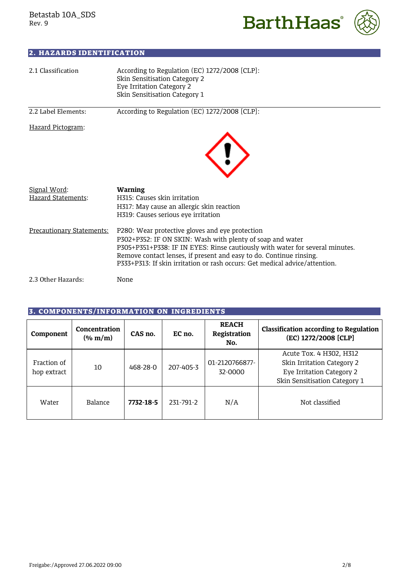



# 2. HAZARDS IDENTIFICATION

| 2.1 Classification                 | According to Regulation (EC) 1272/2008 [CLP]:<br>Skin Sensitisation Category 2<br>Eye Irritation Category 2<br>Skin Sensitisation Category 1                                                                                                                                                                                                       |
|------------------------------------|----------------------------------------------------------------------------------------------------------------------------------------------------------------------------------------------------------------------------------------------------------------------------------------------------------------------------------------------------|
| 2.2 Label Elements:                | According to Regulation (EC) 1272/2008 [CLP]:                                                                                                                                                                                                                                                                                                      |
| Hazard Pictogram:                  |                                                                                                                                                                                                                                                                                                                                                    |
| Signal Word:<br>Hazard Statements: | Warning<br>H315: Causes skin irritation<br>H317: May cause an allergic skin reaction<br>H319: Causes serious eye irritation                                                                                                                                                                                                                        |
| Precautionary Statements:          | P280: Wear protective gloves and eye protection<br>P302+P352: IF ON SKIN: Wash with plenty of soap and water<br>P305+P351+P338: IF IN EYES: Rinse cautiously with water for several minutes.<br>Remove contact lenses, if present and easy to do. Continue rinsing.<br>P333+P313: If skin irritation or rash occurs: Get medical advice/attention. |
| 2.3 Other Hazards:                 | None                                                                                                                                                                                                                                                                                                                                               |

# 3. COMPONENTS/INFORMATION ON INGREDIENTS

| Component                  | Concentration<br>$(\%$ m/m) | CAS no.   | EC no.    | <b>REACH</b><br>Registration<br>No. | <b>Classification according to Regulation</b><br>(EC) 1272/2008 [CLP]                                               |
|----------------------------|-----------------------------|-----------|-----------|-------------------------------------|---------------------------------------------------------------------------------------------------------------------|
| Fraction of<br>hop extract | 10                          | 468-28-0  | 207-405-3 | 01-2120766877-<br>32-0000           | Acute Tox. 4 H302, H312<br>Skin Irritation Category 2<br>Eye Irritation Category 2<br>Skin Sensitisation Category 1 |
| Water                      | Balance                     | 7732-18-5 | 231-791-2 | N/A                                 | Not classified                                                                                                      |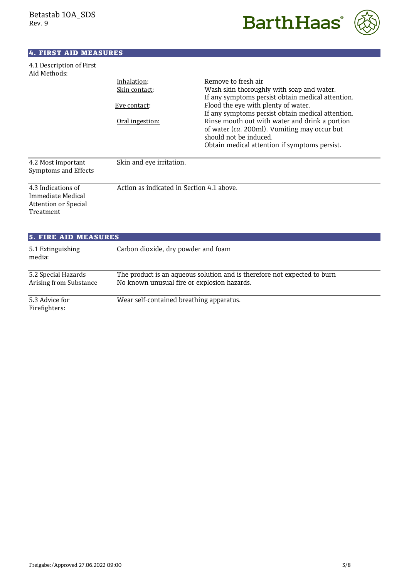



### 4. FIRST AID MEASURES

| 4.1 Description of First |  |
|--------------------------|--|
| Aid Methods:             |  |

Firefighters:

|                                                                        | Inhalation:                               | Remove to fresh air                                                    |
|------------------------------------------------------------------------|-------------------------------------------|------------------------------------------------------------------------|
|                                                                        | <u>Skin contact:</u>                      | Wash skin thoroughly with soap and water.                              |
|                                                                        |                                           | If any symptoms persist obtain medical attention.                      |
|                                                                        | Eye contact:                              | Flood the eye with plenty of water.                                    |
|                                                                        |                                           | If any symptoms persist obtain medical attention.                      |
|                                                                        | <u>Oral ingestion:</u>                    | Rinse mouth out with water and drink a portion                         |
|                                                                        |                                           | of water (ca. 200ml). Vomiting may occur but<br>should not be induced. |
|                                                                        |                                           | Obtain medical attention if symptoms persist.                          |
|                                                                        |                                           |                                                                        |
| 4.2 Most important<br>Symptoms and Effects                             | Skin and eye irritation.                  |                                                                        |
| 4.3 Indications of<br>Immediate Medical<br><b>Attention or Special</b> | Action as indicated in Section 4.1 above. |                                                                        |
| Treatment                                                              |                                           |                                                                        |
| <b>5. FIRE AID MEASURES</b>                                            |                                           |                                                                        |
| 5.1 Extinguishing<br>media:                                            | Carbon dioxide, dry powder and foam       |                                                                        |

5.2 Special Hazards The product is an aqueous solution and is therefore not expected to burn

Arising from Substance No known unusual fire or explosion hazards.

5.3 Advice for Wear self-contained breathing apparatus.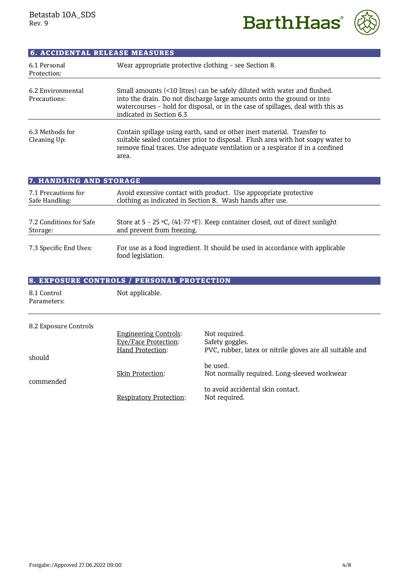**BarthHaas**®



| <b>6. ACCIDENTAL RELEASE MEASURES</b> |                                                                                                                                                                                                                                                                    |
|---------------------------------------|--------------------------------------------------------------------------------------------------------------------------------------------------------------------------------------------------------------------------------------------------------------------|
| 6.1 Personal<br>Protection:           | Wear appropriate protective clothing - see Section 8.                                                                                                                                                                                                              |
| 6.2 Environmental<br>Precautions:     | Small amounts (<10 litres) can be safely diluted with water and flushed.<br>into the drain. Do not discharge large amounts onto the ground or into<br>watercourses - hold for disposal, or in the case of spillages, deal with this as<br>indicated in Section 6.3 |
| 6.3 Methods for<br>Cleaning Up:       | Contain spillage using earth, sand or other inert material. Transfer to<br>suitable sealed container prior to disposal. Flush area with hot soapy water to<br>remove final traces. Use adequate ventilation or a respirator if in a confined<br>area.              |

| 7. HANDLING AND STORAGE |                                                                                                    |  |  |
|-------------------------|----------------------------------------------------------------------------------------------------|--|--|
| 7.1 Precautions for     | Avoid excessive contact with product. Use appropriate protective                                   |  |  |
| Safe Handling:          | clothing as indicated in Section 8. Wash hands after use.                                          |  |  |
| 7.2 Conditions for Safe | Store at $5 - 25$ °C, (41-77 °F). Keep container closed, out of direct sunlight                    |  |  |
| Storage:                | and prevent from freezing.                                                                         |  |  |
| 7.3 Specific End Uses:  | For use as a food ingredient. It should be used in accordance with applicable<br>food legislation. |  |  |

|                            | <b>8. EXPOSURE CONTROLS / PERSONAL PROTECTION</b>                        |                                                                                               |
|----------------------------|--------------------------------------------------------------------------|-----------------------------------------------------------------------------------------------|
| 8.1 Control<br>Parameters: | Not applicable.                                                          |                                                                                               |
| 8.2 Exposure Controls      | <b>Engineering Controls:</b><br>Eye/Face Protection:<br>Hand Protection: | Not required.<br>Safety goggles.<br>PVC, rubber, latex or nitrile gloves are all suitable and |
| should<br>commended        | Skin Protection:                                                         | be used.<br>Not normally required. Long-sleeved workwear                                      |
|                            | <b>Respiratory Protection:</b>                                           | to avoid accidental skin contact.<br>Not required.                                            |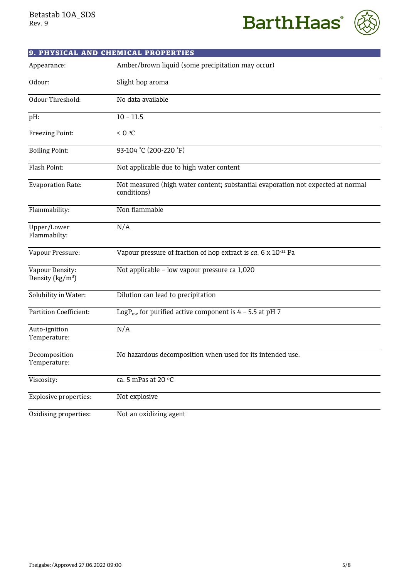



|                                                | 9. PHYSICAL AND CHEMICAL PROPERTIES                                                             |
|------------------------------------------------|-------------------------------------------------------------------------------------------------|
| Appearance:                                    | Amber/brown liquid (some precipitation may occur)                                               |
| Odour:                                         | Slight hop aroma                                                                                |
| Odour Threshold:                               | No data available                                                                               |
| pH:                                            | $10 - 11.5$                                                                                     |
| Freezing Point:                                | < 0 °C                                                                                          |
| <b>Boiling Point:</b>                          | 93-104 °C (200-220 °F)                                                                          |
| Flash Point:                                   | Not applicable due to high water content                                                        |
| <b>Evaporation Rate:</b>                       | Not measured (high water content; substantial evaporation not expected at normal<br>conditions) |
| Flammability:                                  | Non flammable                                                                                   |
| Upper/Lower<br>Flammabilty:                    | N/A                                                                                             |
| Vapour Pressure:                               | Vapour pressure of fraction of hop extract is ca. 6 x 10 <sup>-11</sup> Pa                      |
| Vapour Density:<br>Density ( $\text{kg/m}^3$ ) | Not applicable - low vapour pressure ca 1,020                                                   |
| Solubility in Water:                           | Dilution can lead to precipitation                                                              |
| <b>Partition Coefficient:</b>                  | LogP <sub>ow</sub> for purified active component is $4 - 5.5$ at pH 7                           |
| Auto-ignition<br>Temperature:                  | N/A                                                                                             |
| Decomposition<br>Temperature:                  | No hazardous decomposition when used for its intended use                                       |
| Viscosity:                                     | ca. 5 mPas at 20 °C                                                                             |
| <b>Explosive properties:</b>                   | Not explosive                                                                                   |
| Oxidising properties:                          | Not an oxidizing agent                                                                          |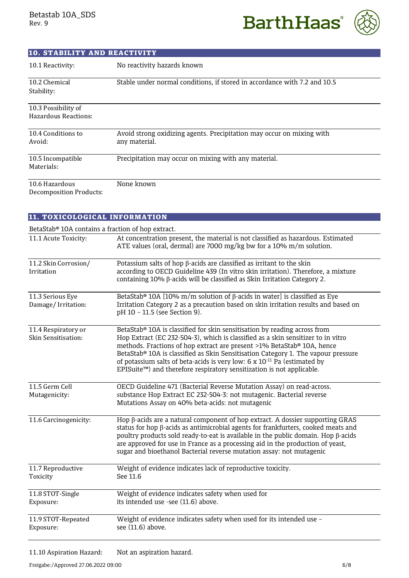**BarthHaas**<sup>®</sup>



| <b>10. STABILITY AND REACTIVITY</b>              |                                                                                        |
|--------------------------------------------------|----------------------------------------------------------------------------------------|
| 10.1 Reactivity:                                 | No reactivity hazards known                                                            |
| 10.2 Chemical<br>Stability:                      | Stable under normal conditions, if stored in accordance with 7.2 and 10.5              |
| 10.3 Possibility of<br>Hazardous Reactions:      |                                                                                        |
| 10.4 Conditions to<br>Avoid:                     | Avoid strong oxidizing agents. Precipitation may occur on mixing with<br>any material. |
| 10.5 Incompatible<br>Materials:                  | Precipitation may occur on mixing with any material.                                   |
| 10.6 Hazardous<br><b>Decomposition Products:</b> | None known                                                                             |

| 11. TOXICOLOGICAL INFORMATION              |                                                                                                                                                                                                                                                                                                                                                                                                                                                                                             |  |  |
|--------------------------------------------|---------------------------------------------------------------------------------------------------------------------------------------------------------------------------------------------------------------------------------------------------------------------------------------------------------------------------------------------------------------------------------------------------------------------------------------------------------------------------------------------|--|--|
|                                            | BetaStab® 10A contains a fraction of hop extract.                                                                                                                                                                                                                                                                                                                                                                                                                                           |  |  |
| 11.1 Acute Toxicity:                       | At concentration present, the material is not classified as hazardous. Estimated<br>ATE values (oral, dermal) are 7000 mg/kg bw for a 10% m/m solution.                                                                                                                                                                                                                                                                                                                                     |  |  |
| 11.2 Skin Corrosion/<br>Irritation         | Potassium salts of hop $\beta$ -acids are classified as irritant to the skin<br>according to OECD Guideline 439 (In vitro skin irritation). Therefore, a mixture<br>containing 10% β-acids will be classified as Skin Irritation Category 2.                                                                                                                                                                                                                                                |  |  |
| 11.3 Serious Eye<br>Damage/Irritation:     | BetaStab® 10A [10% m/m solution of $\beta$ -acids in water] is classified as Eye<br>Irritation Category 2 as a precaution based on skin irritation results and based on<br>pH 10 - 11.5 (see Section 9).                                                                                                                                                                                                                                                                                    |  |  |
| 11.4 Respiratory or<br>Skin Sensitisation: | BetaStab® 10A is classified for skin sensitisation by reading across from<br>Hop Extract (EC 232-504-3), which is classified as a skin sensitizer to in vitro<br>methods. Fractions of hop extract are present >1% BetaStab® 10A, hence<br>BetaStab® 10A is classified as Skin Sensitisation Category 1. The vapour pressure<br>of potassium salts of beta-acids is very low: $6 \times 10^{-11}$ Pa (estimated by<br>EPISuite™) and therefore respiratory sensitization is not applicable. |  |  |
| 11.5 Germ Cell<br>Mutagenicity:            | OECD Guideline 471 (Bacterial Reverse Mutation Assay) on read-across.<br>substance Hop Extract EC 232-504-3: not mutagenic. Bacterial reverse<br>Mutations Assay on 40% beta-acids: not mutagenic                                                                                                                                                                                                                                                                                           |  |  |
| 11.6 Carcinogenicity:                      | Hop β-acids are a natural component of hop extract. A dossier supporting GRAS<br>status for hop $\beta$ -acids as antimicrobial agents for frankfurters, cooked meats and<br>poultry products sold ready-to-eat is available in the public domain. Hop $\beta$ -acids<br>are approved for use in France as a processing aid in the production of yeast,<br>sugar and bioethanol Bacterial reverse mutation assay: not mutagenic                                                             |  |  |
| 11.7 Reproductive<br>Toxicity              | Weight of evidence indicates lack of reproductive toxicity.<br>See 11.6                                                                                                                                                                                                                                                                                                                                                                                                                     |  |  |
| 11.8 STOT-Single<br>Exposure:              | Weight of evidence indicates safety when used for<br>its intended use -see (11.6) above.                                                                                                                                                                                                                                                                                                                                                                                                    |  |  |
| 11.9 STOT-Repeated<br>Exposure:            | Weight of evidence indicates safety when used for its intended use -<br>see (11.6) above.                                                                                                                                                                                                                                                                                                                                                                                                   |  |  |

11.10 Aspiration Hazard: Not an aspiration hazard.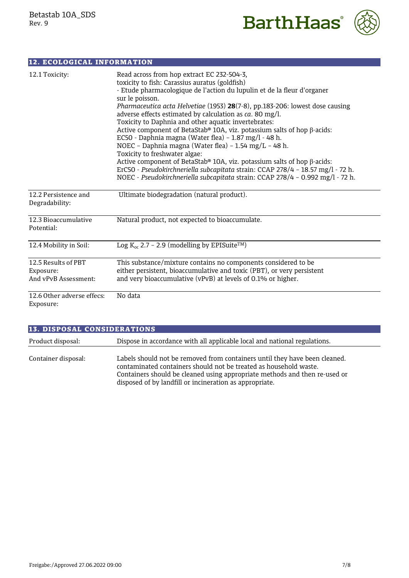



| <b>12. ECOLOGICAL INFORMATION</b>                        |                                                                                                                                                                                                                                                                                                                                                                                                                                                                                                                                                                                                                                                                                                                                                                                                                                                                                       |
|----------------------------------------------------------|---------------------------------------------------------------------------------------------------------------------------------------------------------------------------------------------------------------------------------------------------------------------------------------------------------------------------------------------------------------------------------------------------------------------------------------------------------------------------------------------------------------------------------------------------------------------------------------------------------------------------------------------------------------------------------------------------------------------------------------------------------------------------------------------------------------------------------------------------------------------------------------|
| 12.1 Toxicity:                                           | Read across from hop extract EC 232-504-3,<br>toxicity to fish: Carassius auratus (goldfish)<br>- Etude pharmacologique de l'action du lupulin et de la fleur d'organer<br>sur le poisson.<br>Pharmaceutica acta Helvetiae (1953) 28(7-8), pp.183-206: lowest dose causing<br>adverse effects estimated by calculation as $ca. 80$ mg/l.<br>Toxicity to Daphnia and other aquatic invertebrates:<br>Active component of BetaStab® 10A, viz. potassium salts of hop $\beta$ -acids:<br>EC50 - Daphnia magna (Water flea) - 1.87 mg/l - 48 h.<br>NOEC - Daphnia magna (Water flea) - 1.54 mg/L - 48 h.<br>Toxicity to freshwater algae:<br>Active component of BetaStab® 10A, viz. potassium salts of hop β-acids:<br>ErC50 - Pseudokirchneriella subcapitata strain: CCAP 278/4 - 18.57 mg/l - 72 h.<br>NOEC - Pseudokirchneriella subcapitata strain: CCAP 278/4 - 0.992 mg/l - 72 h. |
| 12.2 Persistence and<br>Degradability:                   | Ultimate biodegradation (natural product).                                                                                                                                                                                                                                                                                                                                                                                                                                                                                                                                                                                                                                                                                                                                                                                                                                            |
| 12.3 Bioaccumulative<br>Potential:                       | Natural product, not expected to bioaccumulate.                                                                                                                                                                                                                                                                                                                                                                                                                                                                                                                                                                                                                                                                                                                                                                                                                                       |
| 12.4 Mobility in Soil:                                   | Log $K_{oc}$ 2.7 - 2.9 (modelling by EPISuite <sup>TM</sup> )                                                                                                                                                                                                                                                                                                                                                                                                                                                                                                                                                                                                                                                                                                                                                                                                                         |
| 12.5 Results of PBT<br>Exposure:<br>And vPvB Assessment: | This substance/mixture contains no components considered to be<br>either persistent, bioaccumulative and toxic (PBT), or very persistent<br>and very bioaccumulative (vPvB) at levels of 0.1% or higher.                                                                                                                                                                                                                                                                                                                                                                                                                                                                                                                                                                                                                                                                              |
| 12.6 Other adverse effecs:<br>Exposure:                  | No data                                                                                                                                                                                                                                                                                                                                                                                                                                                                                                                                                                                                                                                                                                                                                                                                                                                                               |

| <b>13. DISPOSAL CONSIDERATIONS</b> |                                                                                                                                                                                                                                                                                          |  |  |
|------------------------------------|------------------------------------------------------------------------------------------------------------------------------------------------------------------------------------------------------------------------------------------------------------------------------------------|--|--|
| Product disposal:                  | Dispose in accordance with all applicable local and national regulations.                                                                                                                                                                                                                |  |  |
| Container disposal:                | Labels should not be removed from containers until they have been cleaned.<br>contaminated containers should not be treated as household waste.<br>Containers should be cleaned using appropriate methods and then re-used or<br>disposed of by landfill or incineration as appropriate. |  |  |